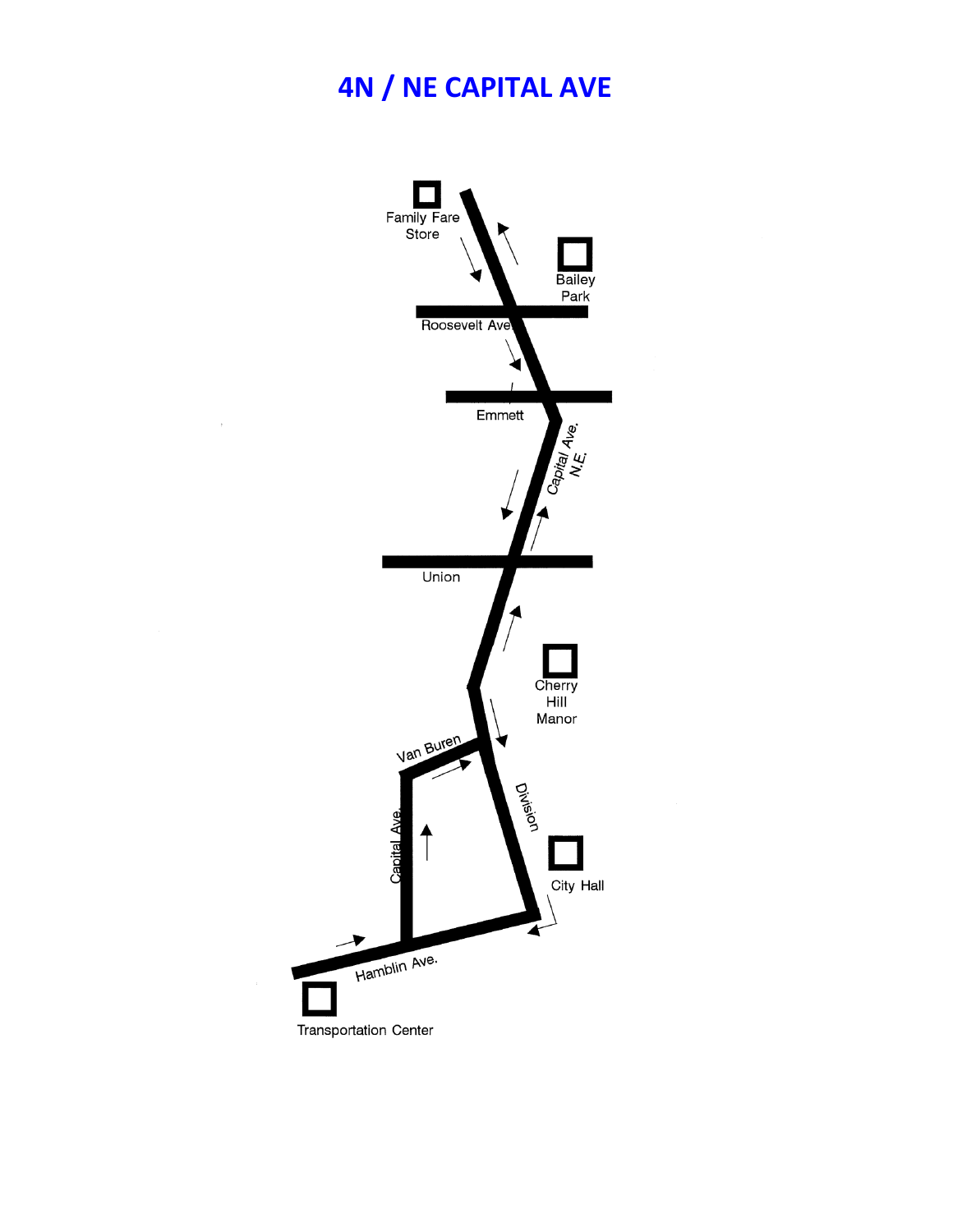## **4N / NE CAPITAL AVE**



 $\rightarrow$